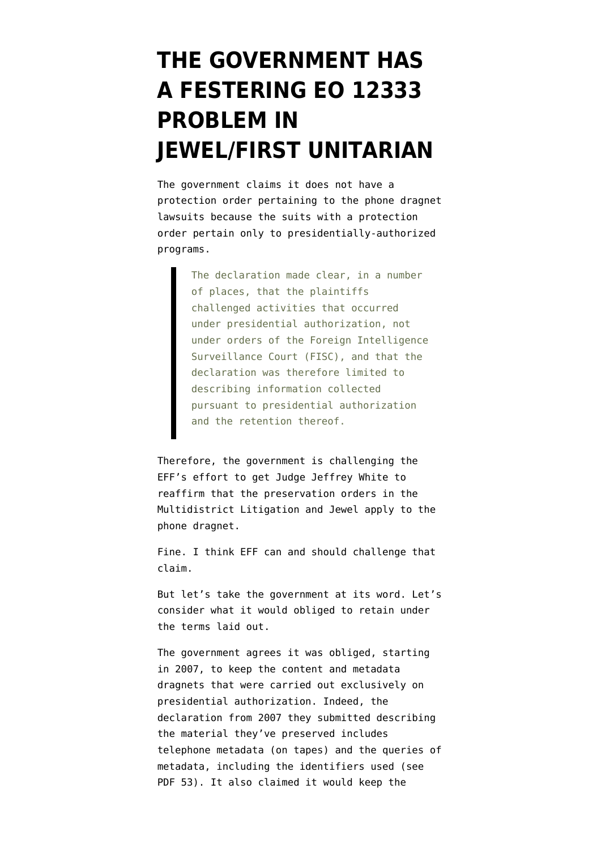## **[THE GOVERNMENT HAS](https://www.emptywheel.net/2014/03/18/the-government-has-a-festering-eo-12333-problem-in-jewelfirst-unitarian/) [A FESTERING EO 12333](https://www.emptywheel.net/2014/03/18/the-government-has-a-festering-eo-12333-problem-in-jewelfirst-unitarian/) [PROBLEM IN](https://www.emptywheel.net/2014/03/18/the-government-has-a-festering-eo-12333-problem-in-jewelfirst-unitarian/) [JEWEL/FIRST UNITARIAN](https://www.emptywheel.net/2014/03/18/the-government-has-a-festering-eo-12333-problem-in-jewelfirst-unitarian/)**

The government [claims](http://www.emptywheel.net/wp-content/uploads/2014/03/140317-Govt-Response-Preservation.pdf) it does not have a protection order pertaining to the phone dragnet lawsuits because the suits with a protection order pertain only to presidentially-authorized programs.

> The declaration made clear, in a number of places, that the plaintiffs challenged activities that occurred under presidential authorization, not under orders of the Foreign Intelligence Surveillance Court (FISC), and that the declaration was therefore limited to describing information collected pursuant to presidential authorization and the retention thereof.

Therefore, the government is challenging the EFF's effort to get Judge Jeffrey White to reaffirm that the preservation orders in the Multidistrict Litigation and Jewel apply to the phone dragnet.

Fine. I think EFF can and should challenge that claim.

But let's take the government at its word. Let's consider what it would obliged to retain under the terms laid out.

The government agrees it was obliged, starting in 2007, to keep the content and metadata dragnets that were carried out exclusively on presidential authorization. Indeed, the declaration from 2007 they submitted describing the material they've preserved includes telephone metadata (on tapes) and the queries of metadata, including the identifiers used (see PDF 53). It also claimed it would keep the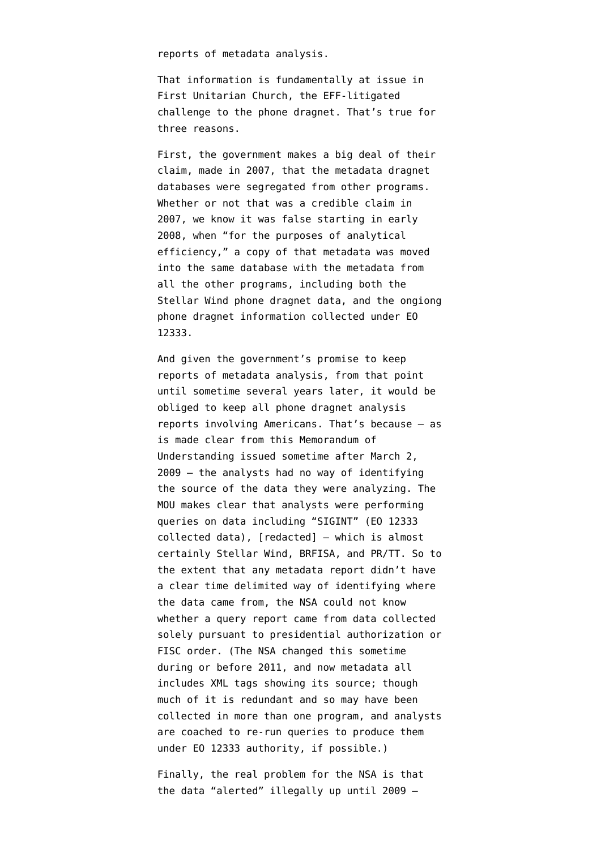reports of metadata analysis.

That information is fundamentally at issue in First Unitarian Church, the EFF-litigated challenge to the phone dragnet. That's true for three reasons.

First, the government makes a big deal of their claim, made in 2007, that the metadata dragnet databases were segregated from other programs. Whether or not that was a credible claim in 2007, we know it was false starting in early 2008, when ["for the purposes of analytical](http://www.emptywheel.net/2014/02/03/for-the-purposes-of-analytical-efficiency-making-copies-of-the-dragnet/) [efficiency,](http://www.emptywheel.net/2014/02/03/for-the-purposes-of-analytical-efficiency-making-copies-of-the-dragnet/)" a copy of that metadata was moved into the same database with the metadata from all the other programs, including both the Stellar Wind phone dragnet data, and the ongiong phone dragnet information collected under EO 12333.

And given the government's promise to keep reports of metadata analysis, from that point until sometime several years later, it would be obliged to keep all phone dragnet analysis reports involving Americans. That's because — as is made clear from [this Memorandum of](https://www.aclu.org/files/assets/March%202009%20NSA%20Memo%20&%20Guidelines%20Governing%20Access%20and%20Queries%20re%20FISA%20Business%20Records.pdf) [Understanding](https://www.aclu.org/files/assets/March%202009%20NSA%20Memo%20&%20Guidelines%20Governing%20Access%20and%20Queries%20re%20FISA%20Business%20Records.pdf) issued sometime after March 2, 2009 — the analysts had no way of identifying the source of the data they were analyzing. The MOU makes clear that analysts were performing queries on data including "SIGINT" (EO 12333 collected data), [redacted] — which is almost certainly Stellar Wind, BRFISA, and PR/TT. So to the extent that any metadata report didn't have a clear time delimited way of identifying where the data came from, the NSA could not know whether a query report came from data collected solely pursuant to presidential authorization or FISC order. (The NSA changed this sometime during or before 2011, and now metadata all includes XML tags showing its source; though much of it is redundant and so may have been collected in more than one program, and [analysts](http://www.emptywheel.net/2013/12/03/federated-queries-and-eo-12333-fisc-workaround/) [are coached to re-run queries](http://www.emptywheel.net/2013/12/03/federated-queries-and-eo-12333-fisc-workaround/) to produce them under EO 12333 authority, if possible.)

Finally, the real problem for the NSA is that the data "alerted" illegally up until 2009 —